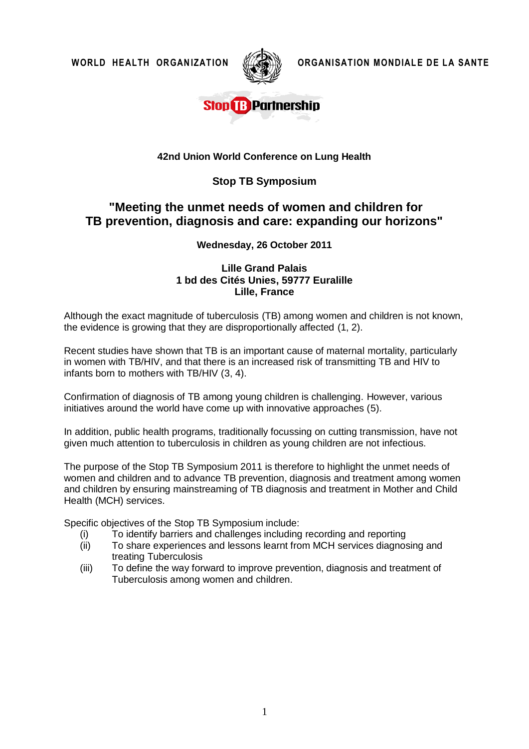

**WORLD HEALTH ORGANIZATION ORGANISATION MONDIALE DE LA SANTE**

## **Stop B Partnership**

#### **42nd Union World Conference on Lung Health**

### **Stop TB Symposium**

## **"Meeting the unmet needs of women and children for TB prevention, diagnosis and care: expanding our horizons"**

**Wednesday, 26 October 2011**

#### **Lille Grand Palais 1 bd des Cités Unies, 59777 Euralille Lille, France**

Although the exact magnitude of tuberculosis (TB) among women and children is not known, the evidence is growing that they are disproportionally affected (1, 2).

Recent studies have shown that TB is an important cause of maternal mortality, particularly in women with TB/HIV, and that there is an increased risk of transmitting TB and HIV to infants born to mothers with TB/HIV (3, 4).

Confirmation of diagnosis of TB among young children is challenging*.* However, various initiatives around the world have come up with innovative approaches (5).

In addition, public health programs, traditionally focussing on cutting transmission, have not given much attention to tuberculosis in children as young children are not infectious.

The purpose of the Stop TB Symposium 2011 is therefore to highlight the unmet needs of women and children and to advance TB prevention, diagnosis and treatment among women and children by ensuring mainstreaming of TB diagnosis and treatment in Mother and Child Health (MCH) services.

Specific objectives of the Stop TB Symposium include:

- (i) To identify barriers and challenges including recording and reporting
- (ii) To share experiences and lessons learnt from MCH services diagnosing and treating Tuberculosis
- (iii) To define the way forward to improve prevention, diagnosis and treatment of Tuberculosis among women and children.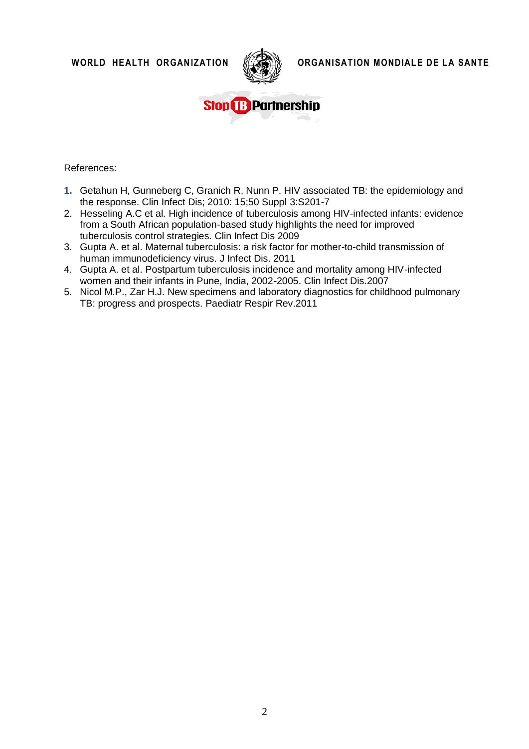

WORLD HEALTH ORGANIZATION **WAREARED MONDIALE DE LA SANTE** 



References:

- **1.** Getahun H, Gunneberg C, Granich R, Nunn P. HIV associated TB: the epidemiology and the response. Clin Infect Dis; 2010: 15;50 Suppl 3:S201-7
- 2. Hesseling A.C et al. High incidence of tuberculosis among HIV-infected infants: evidence from a South African population-based study highlights the need for improved tuberculosis control strategies. Clin Infect Dis 2009
- 3. Gupta A. et al. [Maternal tuberculosis: a risk factor for mother-to-child transmission of](http://www.ncbi.nlm.nih.gov/pubmed/21208928)  [human immunodeficiency virus.](http://www.ncbi.nlm.nih.gov/pubmed/21208928) J Infect Dis. 2011
- 4. Gupta A. et al. Postpartum tuberculosis incidence and mortality among HIV-infected women and their infants in Pune, India, 2002-2005. Clin Infect Dis.2007
- 5. Nicol M.P., Zar H.J. [New specimens and laboratory diagnostics for childhood pulmonary](http://www.ncbi.nlm.nih.gov/pubmed/21172670)  [TB: progress and prospects.](http://www.ncbi.nlm.nih.gov/pubmed/21172670) Paediatr Respir Rev.2011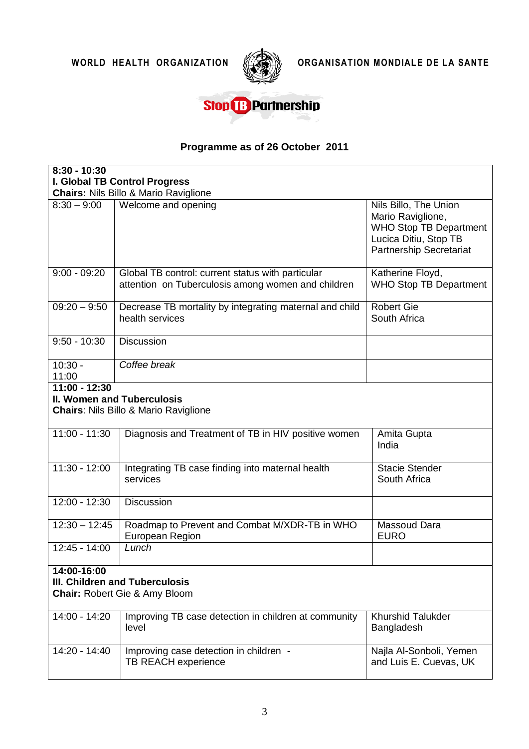

WORLD HEALTH ORGANIZATION **WARE DE LA SANTE** 

# **Stop & Partnership**

## **Programme as of 26 October 2011**

| $8:30 - 10:30$                                                                                    |                                                                                                         |                                                                                                                                        |  |  |
|---------------------------------------------------------------------------------------------------|---------------------------------------------------------------------------------------------------------|----------------------------------------------------------------------------------------------------------------------------------------|--|--|
| <b>I. Global TB Control Progress</b>                                                              |                                                                                                         |                                                                                                                                        |  |  |
|                                                                                                   | <b>Chairs: Nils Billo &amp; Mario Raviglione</b>                                                        |                                                                                                                                        |  |  |
| $8:30 - 9:00$                                                                                     | Welcome and opening                                                                                     | Nils Billo, The Union<br>Mario Raviglione,<br><b>WHO Stop TB Department</b><br>Lucica Ditiu, Stop TB<br><b>Partnership Secretariat</b> |  |  |
| $9:00 - 09:20$                                                                                    | Global TB control: current status with particular<br>attention on Tuberculosis among women and children | Katherine Floyd,<br><b>WHO Stop TB Department</b>                                                                                      |  |  |
| $09:20 - 9:50$                                                                                    | Decrease TB mortality by integrating maternal and child<br>health services                              | <b>Robert Gie</b><br>South Africa                                                                                                      |  |  |
| $9:50 - 10:30$                                                                                    | <b>Discussion</b>                                                                                       |                                                                                                                                        |  |  |
| $10:30 -$<br>11:00                                                                                | Coffee break                                                                                            |                                                                                                                                        |  |  |
| $11:00 - 12:30$<br>II. Women and Tuberculosis<br><b>Chairs: Nils Billo &amp; Mario Raviglione</b> |                                                                                                         |                                                                                                                                        |  |  |
| $11:00 - 11:30$                                                                                   | Diagnosis and Treatment of TB in HIV positive women                                                     | Amita Gupta<br>India                                                                                                                   |  |  |
| $11:30 - 12:00$                                                                                   | Integrating TB case finding into maternal health<br>services                                            | <b>Stacie Stender</b><br>South Africa                                                                                                  |  |  |
| $12:00 - 12:30$                                                                                   | <b>Discussion</b>                                                                                       |                                                                                                                                        |  |  |
| $12:30 - 12:45$                                                                                   | Roadmap to Prevent and Combat M/XDR-TB in WHO<br>European Region                                        | Massoud Dara<br><b>EURO</b>                                                                                                            |  |  |
| 12:45 - 14:00                                                                                     | Lunch                                                                                                   |                                                                                                                                        |  |  |
| 14:00-16:00<br>III. Children and Tuberculosis<br><b>Chair: Robert Gie &amp; Amy Bloom</b>         |                                                                                                         |                                                                                                                                        |  |  |
| 14:00 - 14:20                                                                                     | Improving TB case detection in children at community<br>level                                           | <b>Khurshid Talukder</b><br>Bangladesh                                                                                                 |  |  |
| 14:20 - 14:40                                                                                     | Improving case detection in children -<br>TB REACH experience                                           | Najla Al-Sonboli, Yemen<br>and Luis E. Cuevas, UK                                                                                      |  |  |